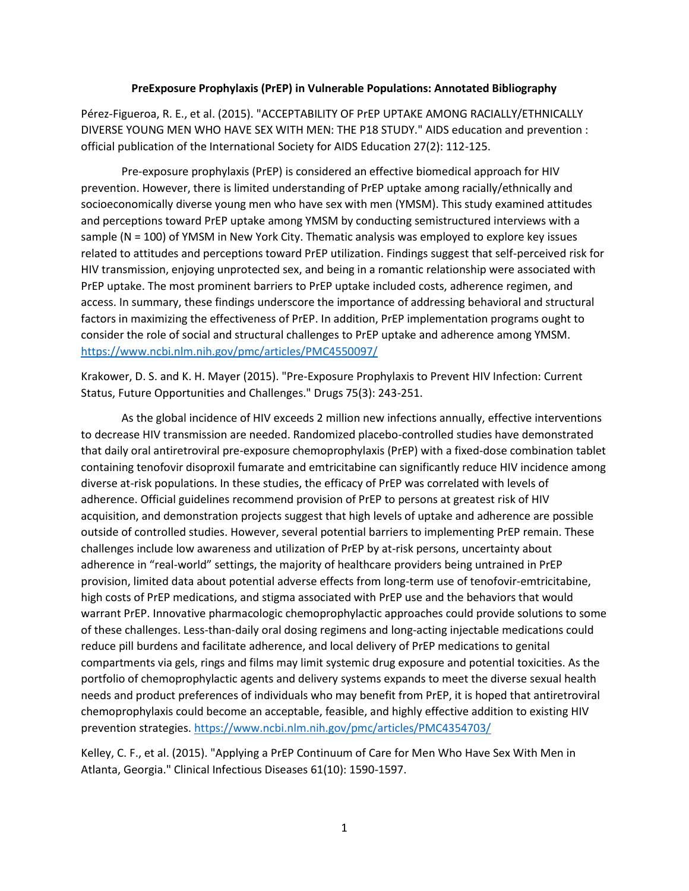## **PreExposure Prophylaxis (PrEP) in Vulnerable Populations: Annotated Bibliography**

Pérez-Figueroa, R. E., et al. (2015). "ACCEPTABILITY OF PrEP UPTAKE AMONG RACIALLY/ETHNICALLY DIVERSE YOUNG MEN WHO HAVE SEX WITH MEN: THE P18 STUDY." AIDS education and prevention : official publication of the International Society for AIDS Education 27(2): 112-125.

Pre-exposure prophylaxis (PrEP) is considered an effective biomedical approach for HIV prevention. However, there is limited understanding of PrEP uptake among racially/ethnically and socioeconomically diverse young men who have sex with men (YMSM). This study examined attitudes and perceptions toward PrEP uptake among YMSM by conducting semistructured interviews with a sample (N = 100) of YMSM in New York City. Thematic analysis was employed to explore key issues related to attitudes and perceptions toward PrEP utilization. Findings suggest that self-perceived risk for HIV transmission, enjoying unprotected sex, and being in a romantic relationship were associated with PrEP uptake. The most prominent barriers to PrEP uptake included costs, adherence regimen, and access. In summary, these findings underscore the importance of addressing behavioral and structural factors in maximizing the effectiveness of PrEP. In addition, PrEP implementation programs ought to consider the role of social and structural challenges to PrEP uptake and adherence among YMSM. <https://www.ncbi.nlm.nih.gov/pmc/articles/PMC4550097/>

Krakower, D. S. and K. H. Mayer (2015). "Pre-Exposure Prophylaxis to Prevent HIV Infection: Current Status, Future Opportunities and Challenges." Drugs 75(3): 243-251.

As the global incidence of HIV exceeds 2 million new infections annually, effective interventions to decrease HIV transmission are needed. Randomized placebo-controlled studies have demonstrated that daily oral antiretroviral pre-exposure chemoprophylaxis (PrEP) with a fixed-dose combination tablet containing tenofovir disoproxil fumarate and emtricitabine can significantly reduce HIV incidence among diverse at-risk populations. In these studies, the efficacy of PrEP was correlated with levels of adherence. Official guidelines recommend provision of PrEP to persons at greatest risk of HIV acquisition, and demonstration projects suggest that high levels of uptake and adherence are possible outside of controlled studies. However, several potential barriers to implementing PrEP remain. These challenges include low awareness and utilization of PrEP by at-risk persons, uncertainty about adherence in "real-world" settings, the majority of healthcare providers being untrained in PrEP provision, limited data about potential adverse effects from long-term use of tenofovir-emtricitabine, high costs of PrEP medications, and stigma associated with PrEP use and the behaviors that would warrant PrEP. Innovative pharmacologic chemoprophylactic approaches could provide solutions to some of these challenges. Less-than-daily oral dosing regimens and long-acting injectable medications could reduce pill burdens and facilitate adherence, and local delivery of PrEP medications to genital compartments via gels, rings and films may limit systemic drug exposure and potential toxicities. As the portfolio of chemoprophylactic agents and delivery systems expands to meet the diverse sexual health needs and product preferences of individuals who may benefit from PrEP, it is hoped that antiretroviral chemoprophylaxis could become an acceptable, feasible, and highly effective addition to existing HIV prevention strategies[. https://www.ncbi.nlm.nih.gov/pmc/articles/PMC4354703/](https://www.ncbi.nlm.nih.gov/pmc/articles/PMC4354703/)

Kelley, C. F., et al. (2015). "Applying a PrEP Continuum of Care for Men Who Have Sex With Men in Atlanta, Georgia." Clinical Infectious Diseases 61(10): 1590-1597.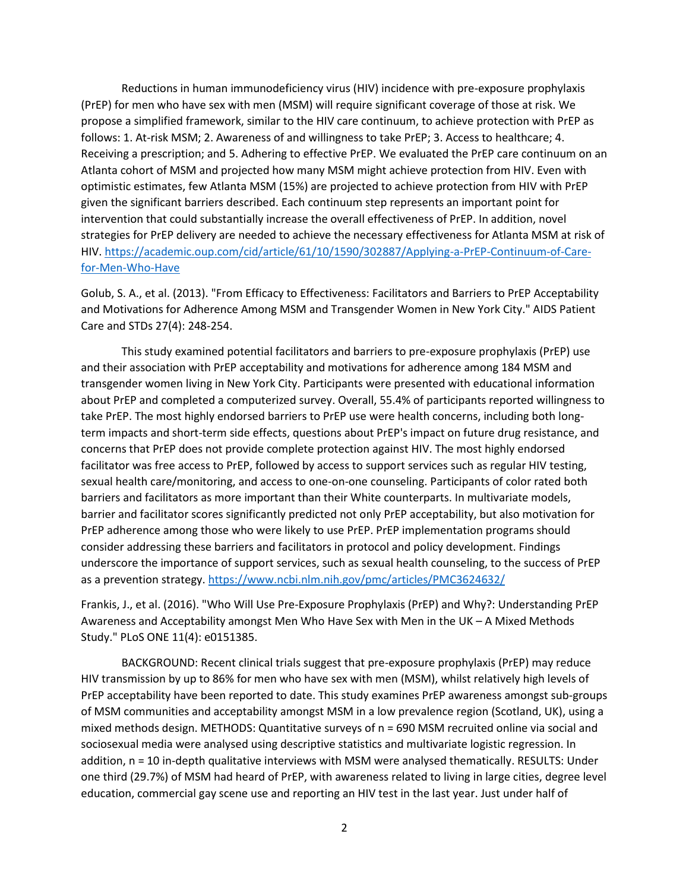Reductions in human immunodeficiency virus (HIV) incidence with pre-exposure prophylaxis (PrEP) for men who have sex with men (MSM) will require significant coverage of those at risk. We propose a simplified framework, similar to the HIV care continuum, to achieve protection with PrEP as follows: 1. At-risk MSM; 2. Awareness of and willingness to take PrEP; 3. Access to healthcare; 4. Receiving a prescription; and 5. Adhering to effective PrEP. We evaluated the PrEP care continuum on an Atlanta cohort of MSM and projected how many MSM might achieve protection from HIV. Even with optimistic estimates, few Atlanta MSM (15%) are projected to achieve protection from HIV with PrEP given the significant barriers described. Each continuum step represents an important point for intervention that could substantially increase the overall effectiveness of PrEP. In addition, novel strategies for PrEP delivery are needed to achieve the necessary effectiveness for Atlanta MSM at risk of HIV. [https://academic.oup.com/cid/article/61/10/1590/302887/Applying-a-PrEP-Continuum-of-Care](https://academic.oup.com/cid/article/61/10/1590/302887/Applying-a-PrEP-Continuum-of-Care-for-Men-Who-Have)[for-Men-Who-Have](https://academic.oup.com/cid/article/61/10/1590/302887/Applying-a-PrEP-Continuum-of-Care-for-Men-Who-Have)

Golub, S. A., et al. (2013). "From Efficacy to Effectiveness: Facilitators and Barriers to PrEP Acceptability and Motivations for Adherence Among MSM and Transgender Women in New York City." AIDS Patient Care and STDs 27(4): 248-254.

This study examined potential facilitators and barriers to pre-exposure prophylaxis (PrEP) use and their association with PrEP acceptability and motivations for adherence among 184 MSM and transgender women living in New York City. Participants were presented with educational information about PrEP and completed a computerized survey. Overall, 55.4% of participants reported willingness to take PrEP. The most highly endorsed barriers to PrEP use were health concerns, including both longterm impacts and short-term side effects, questions about PrEP's impact on future drug resistance, and concerns that PrEP does not provide complete protection against HIV. The most highly endorsed facilitator was free access to PrEP, followed by access to support services such as regular HIV testing, sexual health care/monitoring, and access to one-on-one counseling. Participants of color rated both barriers and facilitators as more important than their White counterparts. In multivariate models, barrier and facilitator scores significantly predicted not only PrEP acceptability, but also motivation for PrEP adherence among those who were likely to use PrEP. PrEP implementation programs should consider addressing these barriers and facilitators in protocol and policy development. Findings underscore the importance of support services, such as sexual health counseling, to the success of PrEP as a prevention strategy.<https://www.ncbi.nlm.nih.gov/pmc/articles/PMC3624632/>

Frankis, J., et al. (2016). "Who Will Use Pre-Exposure Prophylaxis (PrEP) and Why?: Understanding PrEP Awareness and Acceptability amongst Men Who Have Sex with Men in the UK – A Mixed Methods Study." PLoS ONE 11(4): e0151385.

BACKGROUND: Recent clinical trials suggest that pre-exposure prophylaxis (PrEP) may reduce HIV transmission by up to 86% for men who have sex with men (MSM), whilst relatively high levels of PrEP acceptability have been reported to date. This study examines PrEP awareness amongst sub-groups of MSM communities and acceptability amongst MSM in a low prevalence region (Scotland, UK), using a mixed methods design. METHODS: Quantitative surveys of n = 690 MSM recruited online via social and sociosexual media were analysed using descriptive statistics and multivariate logistic regression. In addition, n = 10 in-depth qualitative interviews with MSM were analysed thematically. RESULTS: Under one third (29.7%) of MSM had heard of PrEP, with awareness related to living in large cities, degree level education, commercial gay scene use and reporting an HIV test in the last year. Just under half of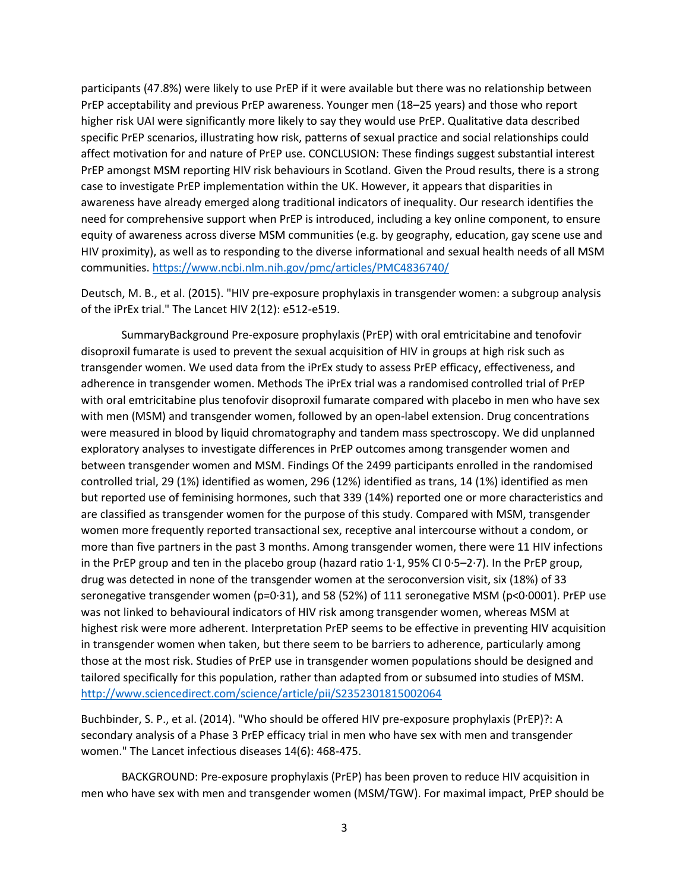participants (47.8%) were likely to use PrEP if it were available but there was no relationship between PrEP acceptability and previous PrEP awareness. Younger men (18–25 years) and those who report higher risk UAI were significantly more likely to say they would use PrEP. Qualitative data described specific PrEP scenarios, illustrating how risk, patterns of sexual practice and social relationships could affect motivation for and nature of PrEP use. CONCLUSION: These findings suggest substantial interest PrEP amongst MSM reporting HIV risk behaviours in Scotland. Given the Proud results, there is a strong case to investigate PrEP implementation within the UK. However, it appears that disparities in awareness have already emerged along traditional indicators of inequality. Our research identifies the need for comprehensive support when PrEP is introduced, including a key online component, to ensure equity of awareness across diverse MSM communities (e.g. by geography, education, gay scene use and HIV proximity), as well as to responding to the diverse informational and sexual health needs of all MSM communities.<https://www.ncbi.nlm.nih.gov/pmc/articles/PMC4836740/>

Deutsch, M. B., et al. (2015). "HIV pre-exposure prophylaxis in transgender women: a subgroup analysis of the iPrEx trial." The Lancet HIV 2(12): e512-e519.

SummaryBackground Pre-exposure prophylaxis (PrEP) with oral emtricitabine and tenofovir disoproxil fumarate is used to prevent the sexual acquisition of HIV in groups at high risk such as transgender women. We used data from the iPrEx study to assess PrEP efficacy, effectiveness, and adherence in transgender women. Methods The iPrEx trial was a randomised controlled trial of PrEP with oral emtricitabine plus tenofovir disoproxil fumarate compared with placebo in men who have sex with men (MSM) and transgender women, followed by an open-label extension. Drug concentrations were measured in blood by liquid chromatography and tandem mass spectroscopy. We did unplanned exploratory analyses to investigate differences in PrEP outcomes among transgender women and between transgender women and MSM. Findings Of the 2499 participants enrolled in the randomised controlled trial, 29 (1%) identified as women, 296 (12%) identified as trans, 14 (1%) identified as men but reported use of feminising hormones, such that 339 (14%) reported one or more characteristics and are classified as transgender women for the purpose of this study. Compared with MSM, transgender women more frequently reported transactional sex, receptive anal intercourse without a condom, or more than five partners in the past 3 months. Among transgender women, there were 11 HIV infections in the PrEP group and ten in the placebo group (hazard ratio 1·1, 95% CI 0·5–2·7). In the PrEP group, drug was detected in none of the transgender women at the seroconversion visit, six (18%) of 33 seronegative transgender women ( $p=0.31$ ), and 58 (52%) of 111 seronegative MSM ( $p<0.0001$ ). PrEP use was not linked to behavioural indicators of HIV risk among transgender women, whereas MSM at highest risk were more adherent. Interpretation PrEP seems to be effective in preventing HIV acquisition in transgender women when taken, but there seem to be barriers to adherence, particularly among those at the most risk. Studies of PrEP use in transgender women populations should be designed and tailored specifically for this population, rather than adapted from or subsumed into studies of MSM. <http://www.sciencedirect.com/science/article/pii/S2352301815002064>

Buchbinder, S. P., et al. (2014). "Who should be offered HIV pre-exposure prophylaxis (PrEP)?: A secondary analysis of a Phase 3 PrEP efficacy trial in men who have sex with men and transgender women." The Lancet infectious diseases 14(6): 468-475.

BACKGROUND: Pre-exposure prophylaxis (PrEP) has been proven to reduce HIV acquisition in men who have sex with men and transgender women (MSM/TGW). For maximal impact, PrEP should be